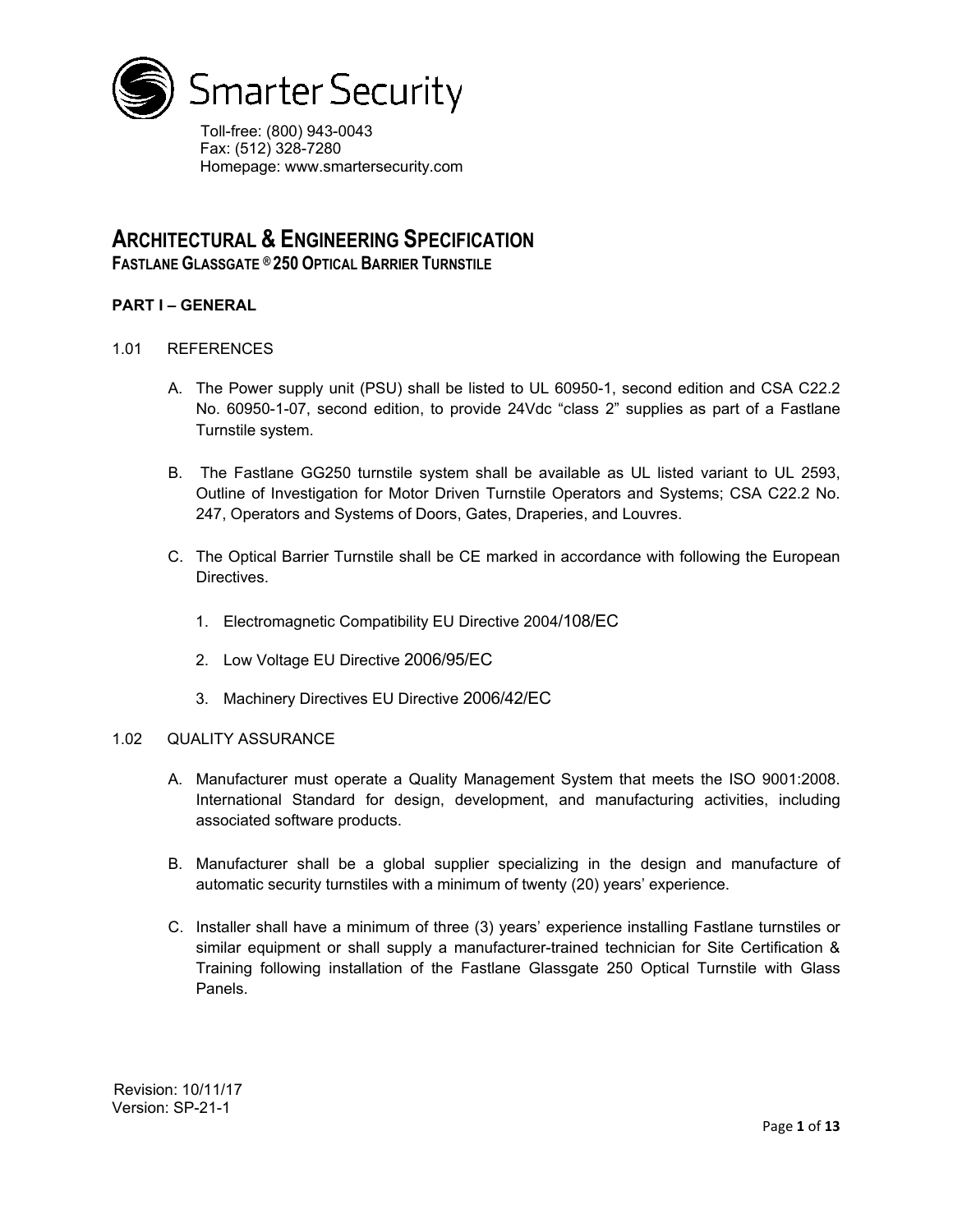

Toll-free: (800) 943-0043 Fax: (512) 328-7280 Homepage: www.smartersecurity.com

# **ARCHITECTURAL & ENGINEERING SPECIFICATION**

**FASTLANE GLASSGATE ® 250 OPTICAL BARRIER TURNSTILE**

# **PART I – GENERAL**

- 1.01 REFERENCES
	- A. The Power supply unit (PSU) shall be listed to UL 60950-1, second edition and CSA C22.2 No. 60950-1-07, second edition, to provide 24Vdc "class 2" supplies as part of a Fastlane Turnstile system.
	- B. The Fastlane GG250 turnstile system shall be available as UL listed variant to UL 2593, Outline of Investigation for Motor Driven Turnstile Operators and Systems; CSA C22.2 No. 247, Operators and Systems of Doors, Gates, Draperies, and Louvres.
	- C. The Optical Barrier Turnstile shall be CE marked in accordance with following the European Directives.
		- 1. Electromagnetic Compatibility EU Directive 2004/108/EC
		- 2. Low Voltage EU Directive 2006/95/EC
		- 3. Machinery Directives EU Directive 2006/42/EC

### 1.02 QUALITY ASSURANCE

- A. Manufacturer must operate a Quality Management System that meets the ISO 9001:2008. International Standard for design, development, and manufacturing activities, including associated software products.
- B. Manufacturer shall be a global supplier specializing in the design and manufacture of automatic security turnstiles with a minimum of twenty (20) years' experience.
- C. Installer shall have a minimum of three (3) years' experience installing Fastlane turnstiles or similar equipment or shall supply a manufacturer-trained technician for Site Certification & Training following installation of the Fastlane Glassgate 250 Optical Turnstile with Glass Panels.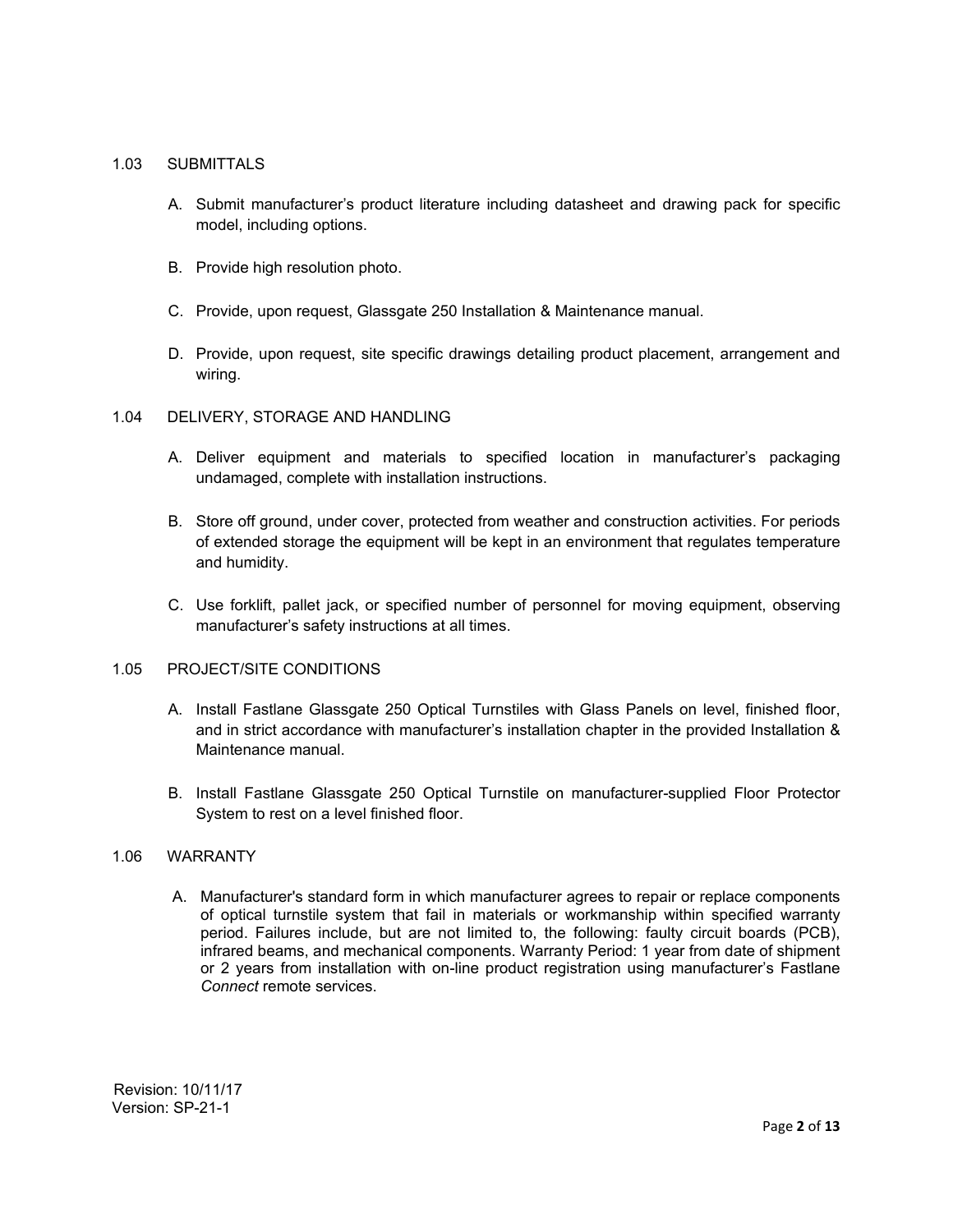### 1.03 SUBMITTALS

- A. Submit manufacturer's product literature including datasheet and drawing pack for specific model, including options.
- B. Provide high resolution photo.
- C. Provide, upon request, Glassgate 250 Installation & Maintenance manual.
- D. Provide, upon request, site specific drawings detailing product placement, arrangement and wiring.

### 1.04 DELIVERY, STORAGE AND HANDLING

- A. Deliver equipment and materials to specified location in manufacturer's packaging undamaged, complete with installation instructions.
- B. Store off ground, under cover, protected from weather and construction activities. For periods of extended storage the equipment will be kept in an environment that regulates temperature and humidity.
- C. Use forklift, pallet jack, or specified number of personnel for moving equipment, observing manufacturer's safety instructions at all times.

# 1.05 PROJECT/SITE CONDITIONS

- A. Install Fastlane Glassgate 250 Optical Turnstiles with Glass Panels on level, finished floor, and in strict accordance with manufacturer's installation chapter in the provided Installation & Maintenance manual.
- B. Install Fastlane Glassgate 250 Optical Turnstile on manufacturer-supplied Floor Protector System to rest on a level finished floor.

## 1.06 WARRANTY

A. Manufacturer's standard form in which manufacturer agrees to repair or replace components of optical turnstile system that fail in materials or workmanship within specified warranty period. Failures include, but are not limited to, the following: faulty circuit boards (PCB), infrared beams, and mechanical components. Warranty Period: 1 year from date of shipment or 2 years from installation with on-line product registration using manufacturer's Fastlane *Connect* remote services.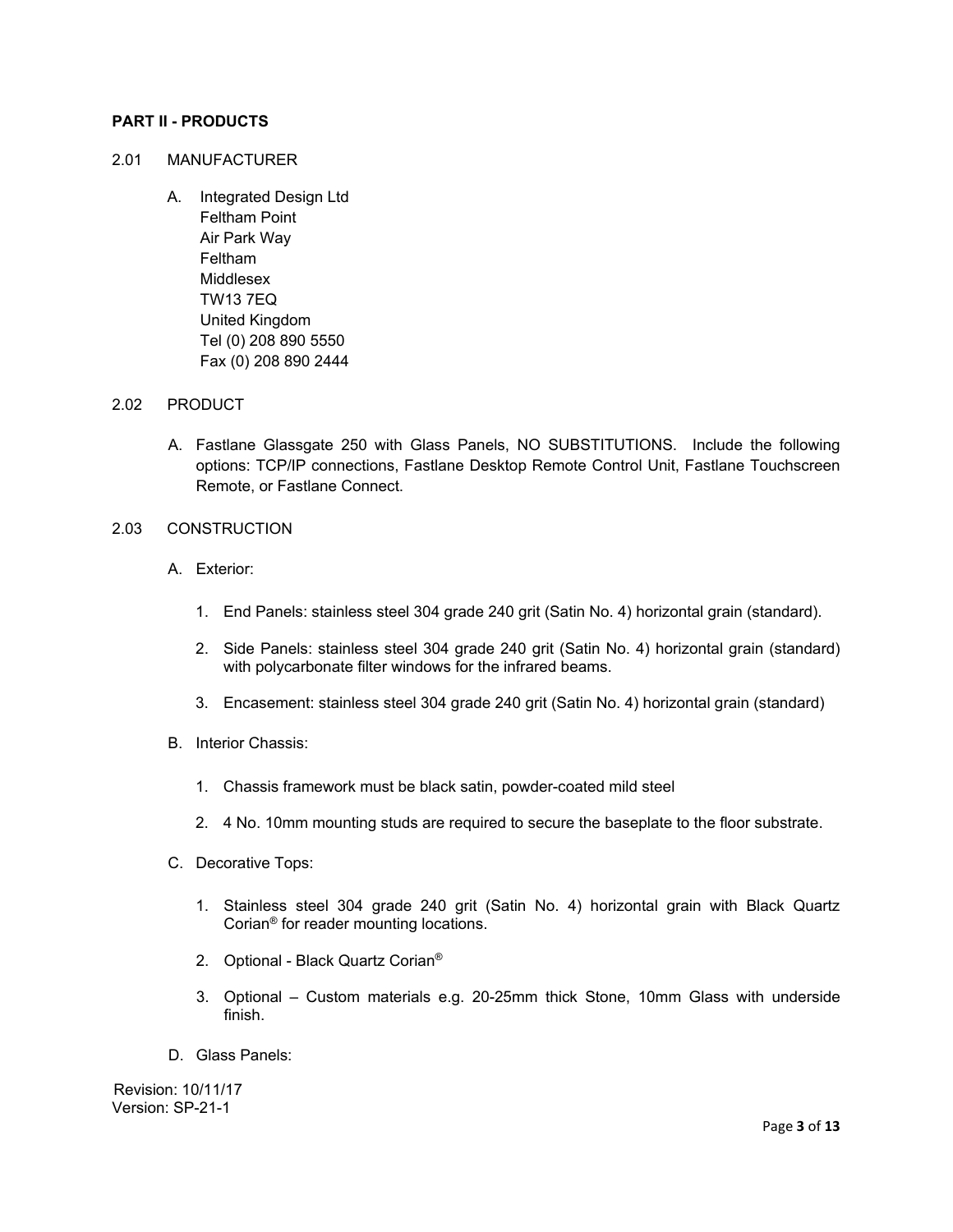## **PART II - PRODUCTS**

#### 2.01 MANUFACTURER

A. Integrated Design Ltd Feltham Point Air Park Way Feltham Middlesex TW13 7EQ United Kingdom Tel (0) 208 890 5550 Fax (0) 208 890 2444

#### 2.02 PRODUCT

A. Fastlane Glassgate 250 with Glass Panels, NO SUBSTITUTIONS. Include the following options: TCP/IP connections, Fastlane Desktop Remote Control Unit, Fastlane Touchscreen Remote, or Fastlane Connect.

#### 2.03 CONSTRUCTION

- A. Exterior:
	- 1. End Panels: stainless steel 304 grade 240 grit (Satin No. 4) horizontal grain (standard).
	- 2. Side Panels: stainless steel 304 grade 240 grit (Satin No. 4) horizontal grain (standard) with polycarbonate filter windows for the infrared beams.
	- 3. Encasement: stainless steel 304 grade 240 grit (Satin No. 4) horizontal grain (standard)
- B. Interior Chassis:
	- 1. Chassis framework must be black satin, powder-coated mild steel
	- 2. 4 No. 10mm mounting studs are required to secure the baseplate to the floor substrate.
- C. Decorative Tops:
	- 1. Stainless steel 304 grade 240 grit (Satin No. 4) horizontal grain with Black Quartz Corian® for reader mounting locations.
	- 2. Optional Black Quartz Corian®
	- 3. Optional Custom materials e.g. 20-25mm thick Stone, 10mm Glass with underside finish.
- D. Glass Panels: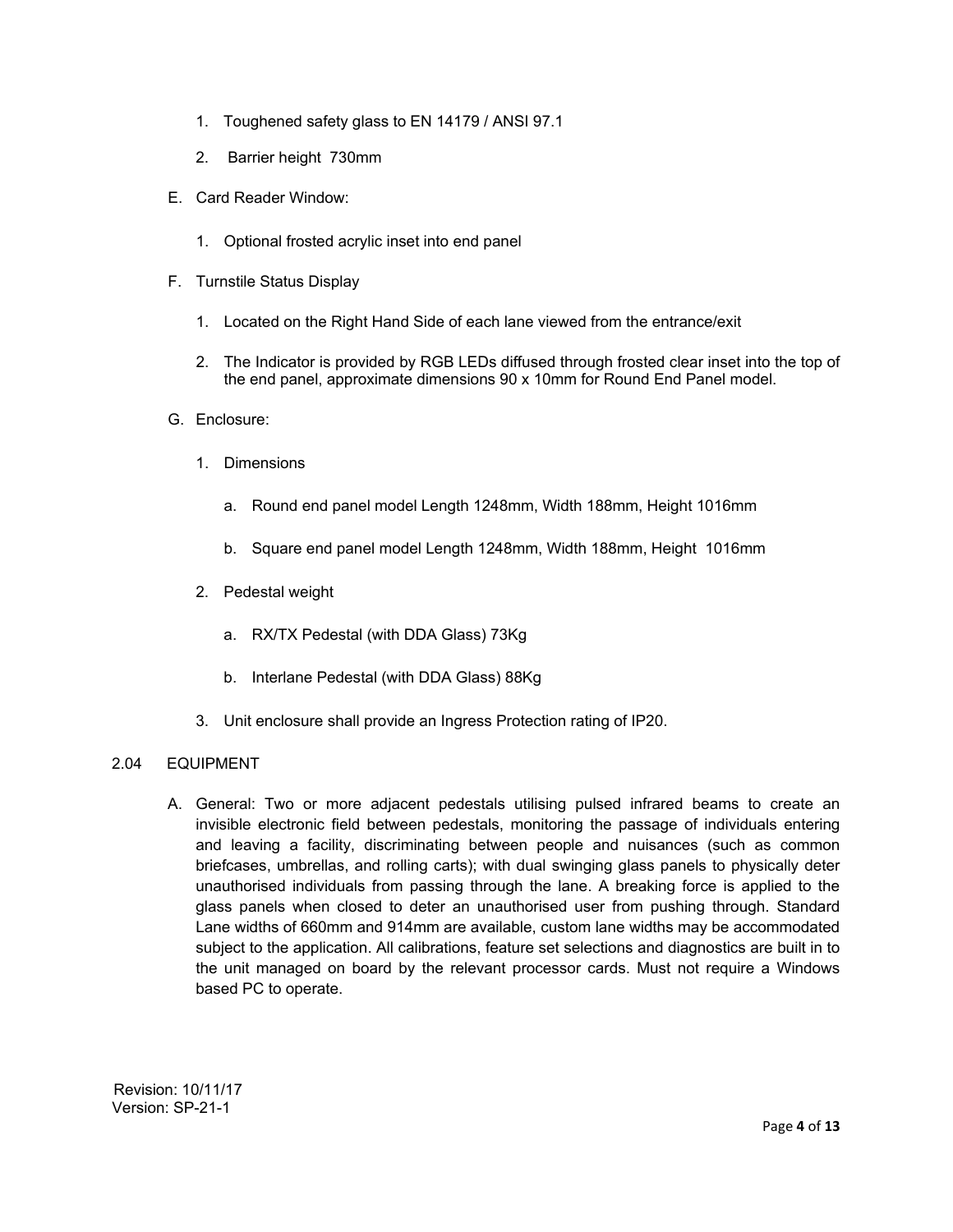- 1. Toughened safety glass to EN 14179 / ANSI 97.1
- 2. Barrier height 730mm
- E. Card Reader Window:
	- 1. Optional frosted acrylic inset into end panel
- F. Turnstile Status Display
	- 1. Located on the Right Hand Side of each lane viewed from the entrance/exit
	- 2. The Indicator is provided by RGB LEDs diffused through frosted clear inset into the top of the end panel, approximate dimensions 90 x 10mm for Round End Panel model.
- G. Enclosure:
	- 1. Dimensions
		- a. Round end panel model Length 1248mm, Width 188mm, Height 1016mm
		- b. Square end panel model Length 1248mm, Width 188mm, Height 1016mm
	- 2. Pedestal weight
		- a. RX/TX Pedestal (with DDA Glass) 73Kg
		- b. Interlane Pedestal (with DDA Glass) 88Kg
	- 3. Unit enclosure shall provide an Ingress Protection rating of IP20.

## 2.04 EQUIPMENT

A. General: Two or more adjacent pedestals utilising pulsed infrared beams to create an invisible electronic field between pedestals, monitoring the passage of individuals entering and leaving a facility, discriminating between people and nuisances (such as common briefcases, umbrellas, and rolling carts); with dual swinging glass panels to physically deter unauthorised individuals from passing through the lane. A breaking force is applied to the glass panels when closed to deter an unauthorised user from pushing through. Standard Lane widths of 660mm and 914mm are available, custom lane widths may be accommodated subject to the application. All calibrations, feature set selections and diagnostics are built in to the unit managed on board by the relevant processor cards. Must not require a Windows based PC to operate.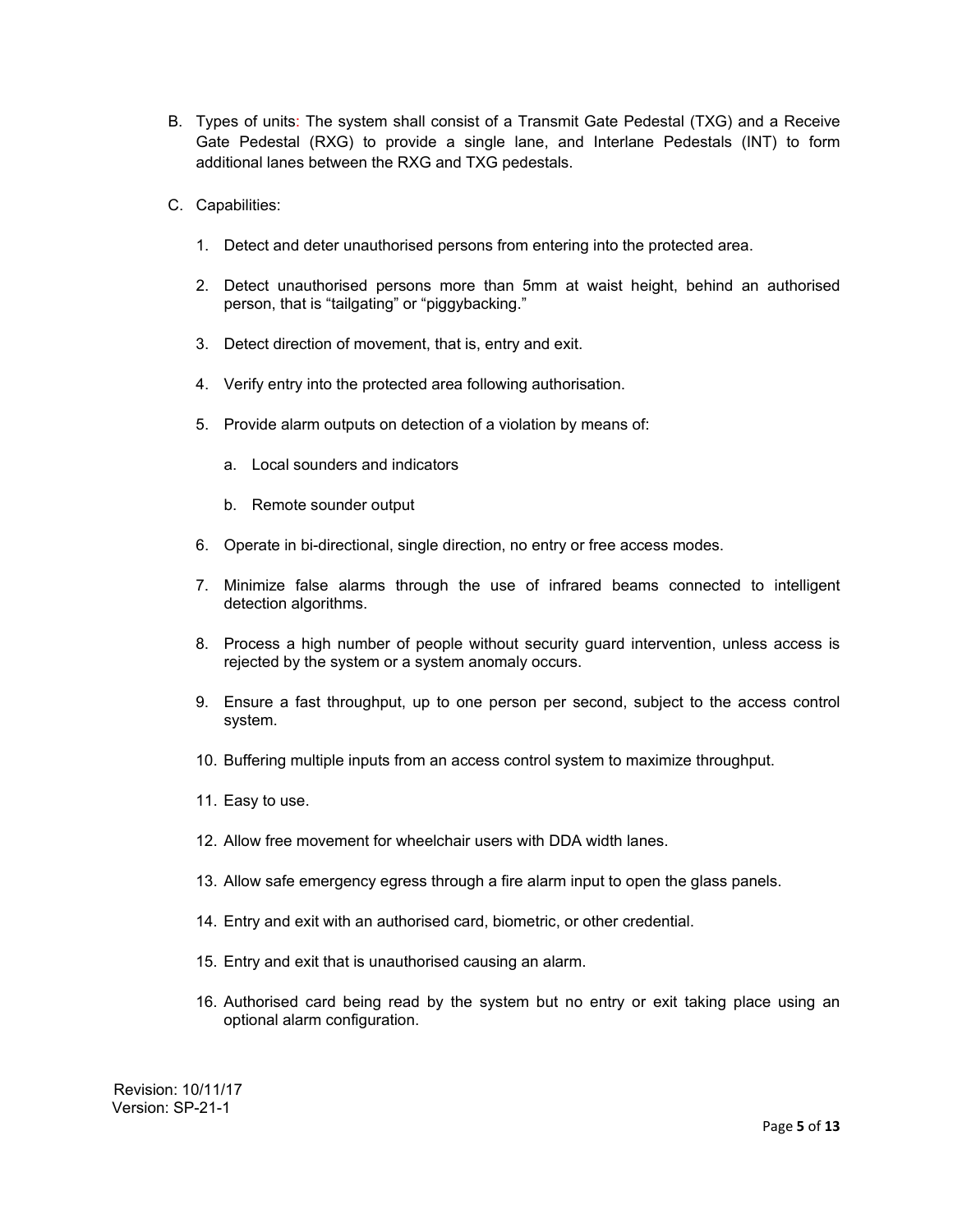- B. Types of units: The system shall consist of a Transmit Gate Pedestal (TXG) and a Receive Gate Pedestal (RXG) to provide a single lane, and Interlane Pedestals (INT) to form additional lanes between the RXG and TXG pedestals.
- C. Capabilities:
	- 1. Detect and deter unauthorised persons from entering into the protected area.
	- 2. Detect unauthorised persons more than 5mm at waist height, behind an authorised person, that is "tailgating" or "piggybacking."
	- 3. Detect direction of movement, that is, entry and exit.
	- 4. Verify entry into the protected area following authorisation.
	- 5. Provide alarm outputs on detection of a violation by means of:
		- a. Local sounders and indicators
		- b. Remote sounder output
	- 6. Operate in bi-directional, single direction, no entry or free access modes.
	- 7. Minimize false alarms through the use of infrared beams connected to intelligent detection algorithms.
	- 8. Process a high number of people without security guard intervention, unless access is rejected by the system or a system anomaly occurs.
	- 9. Ensure a fast throughput, up to one person per second, subject to the access control system.
	- 10. Buffering multiple inputs from an access control system to maximize throughput.
	- 11. Easy to use.
	- 12. Allow free movement for wheelchair users with DDA width lanes.
	- 13. Allow safe emergency egress through a fire alarm input to open the glass panels.
	- 14. Entry and exit with an authorised card, biometric, or other credential.
	- 15. Entry and exit that is unauthorised causing an alarm.
	- 16. Authorised card being read by the system but no entry or exit taking place using an optional alarm configuration.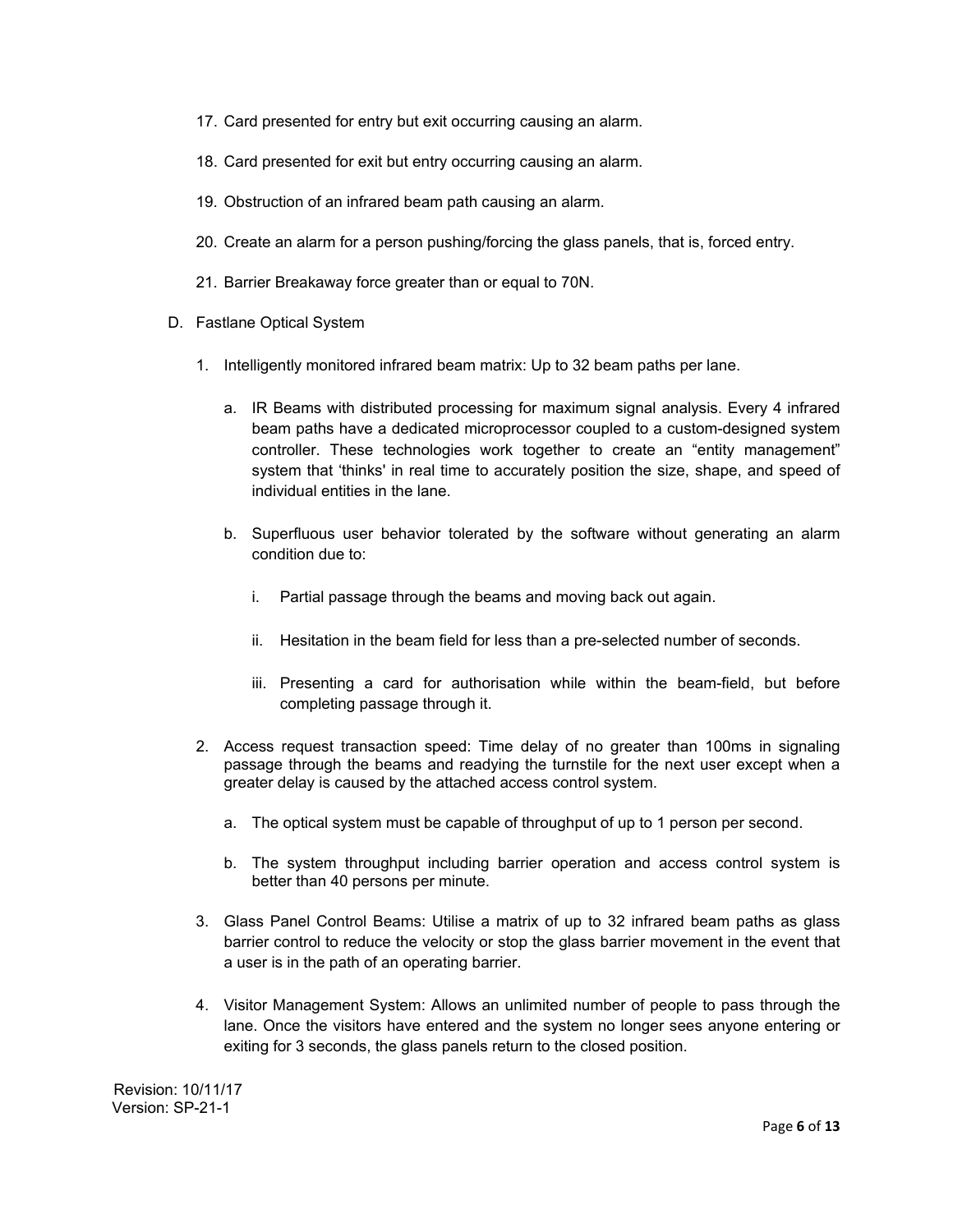- 17. Card presented for entry but exit occurring causing an alarm.
- 18. Card presented for exit but entry occurring causing an alarm.
- 19. Obstruction of an infrared beam path causing an alarm.
- 20. Create an alarm for a person pushing/forcing the glass panels, that is, forced entry.
- 21. Barrier Breakaway force greater than or equal to 70N.
- D. Fastlane Optical System
	- 1. Intelligently monitored infrared beam matrix: Up to 32 beam paths per lane.
		- a. IR Beams with distributed processing for maximum signal analysis. Every 4 infrared beam paths have a dedicated microprocessor coupled to a custom-designed system controller. These technologies work together to create an "entity management" system that 'thinks' in real time to accurately position the size, shape, and speed of individual entities in the lane.
		- b. Superfluous user behavior tolerated by the software without generating an alarm condition due to:
			- i. Partial passage through the beams and moving back out again.
			- ii. Hesitation in the beam field for less than a pre-selected number of seconds.
			- iii. Presenting a card for authorisation while within the beam-field, but before completing passage through it.
	- 2. Access request transaction speed: Time delay of no greater than 100ms in signaling passage through the beams and readying the turnstile for the next user except when a greater delay is caused by the attached access control system.
		- a. The optical system must be capable of throughput of up to 1 person per second.
		- b. The system throughput including barrier operation and access control system is better than 40 persons per minute.
	- 3. Glass Panel Control Beams: Utilise a matrix of up to 32 infrared beam paths as glass barrier control to reduce the velocity or stop the glass barrier movement in the event that a user is in the path of an operating barrier.
	- 4. Visitor Management System: Allows an unlimited number of people to pass through the lane. Once the visitors have entered and the system no longer sees anyone entering or exiting for 3 seconds, the glass panels return to the closed position.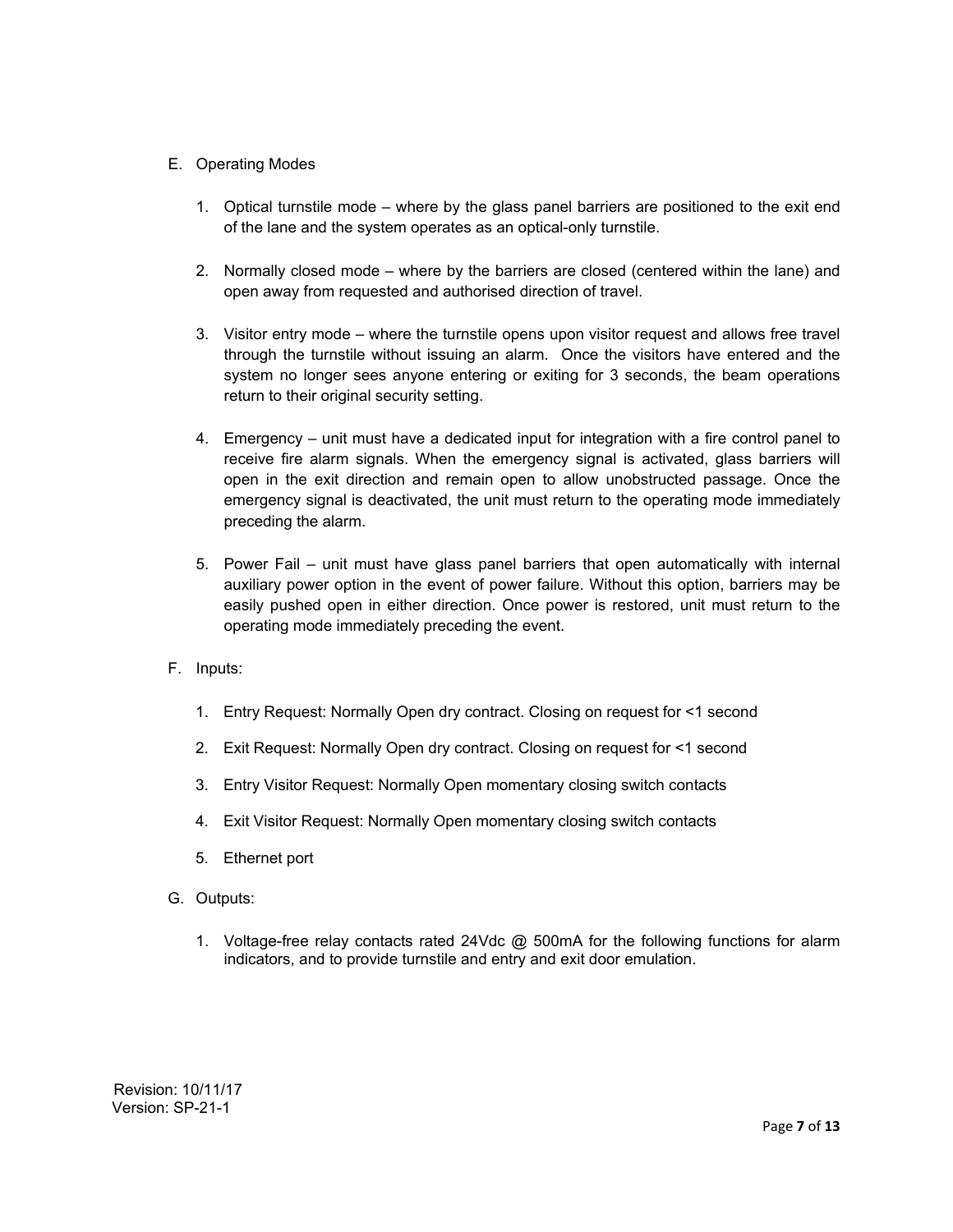# E. Operating Modes

- 1. Optical turnstile mode where by the glass panel barriers are positioned to the exit end of the lane and the system operates as an optical-only turnstile.
- 2. Normally closed mode where by the barriers are closed (centered within the lane) and open away from requested and authorised direction of travel.
- 3. Visitor entry mode where the turnstile opens upon visitor request and allows free travel through the turnstile without issuing an alarm. Once the visitors have entered and the system no longer sees anyone entering or exiting for 3 seconds, the beam operations return to their original security setting.
- 4. Emergency unit must have a dedicated input for integration with a fire control panel to receive fire alarm signals. When the emergency signal is activated, glass barriers will open in the exit direction and remain open to allow unobstructed passage. Once the emergency signal is deactivated, the unit must return to the operating mode immediately preceding the alarm.
- 5. Power Fail unit must have glass panel barriers that open automatically with internal auxiliary power option in the event of power failure. Without this option, barriers may be easily pushed open in either direction. Once power is restored, unit must return to the operating mode immediately preceding the event.
- F. Inputs:
	- 1. Entry Request: Normally Open dry contract. Closing on request for <1 second
	- 2. Exit Request: Normally Open dry contract. Closing on request for <1 second
	- 3. Entry Visitor Request: Normally Open momentary closing switch contacts
	- 4. Exit Visitor Request: Normally Open momentary closing switch contacts
	- 5. Ethernet port
- G. Outputs:
	- 1. Voltage-free relay contacts rated 24Vdc @ 500mA for the following functions for alarm indicators, and to provide turnstile and entry and exit door emulation.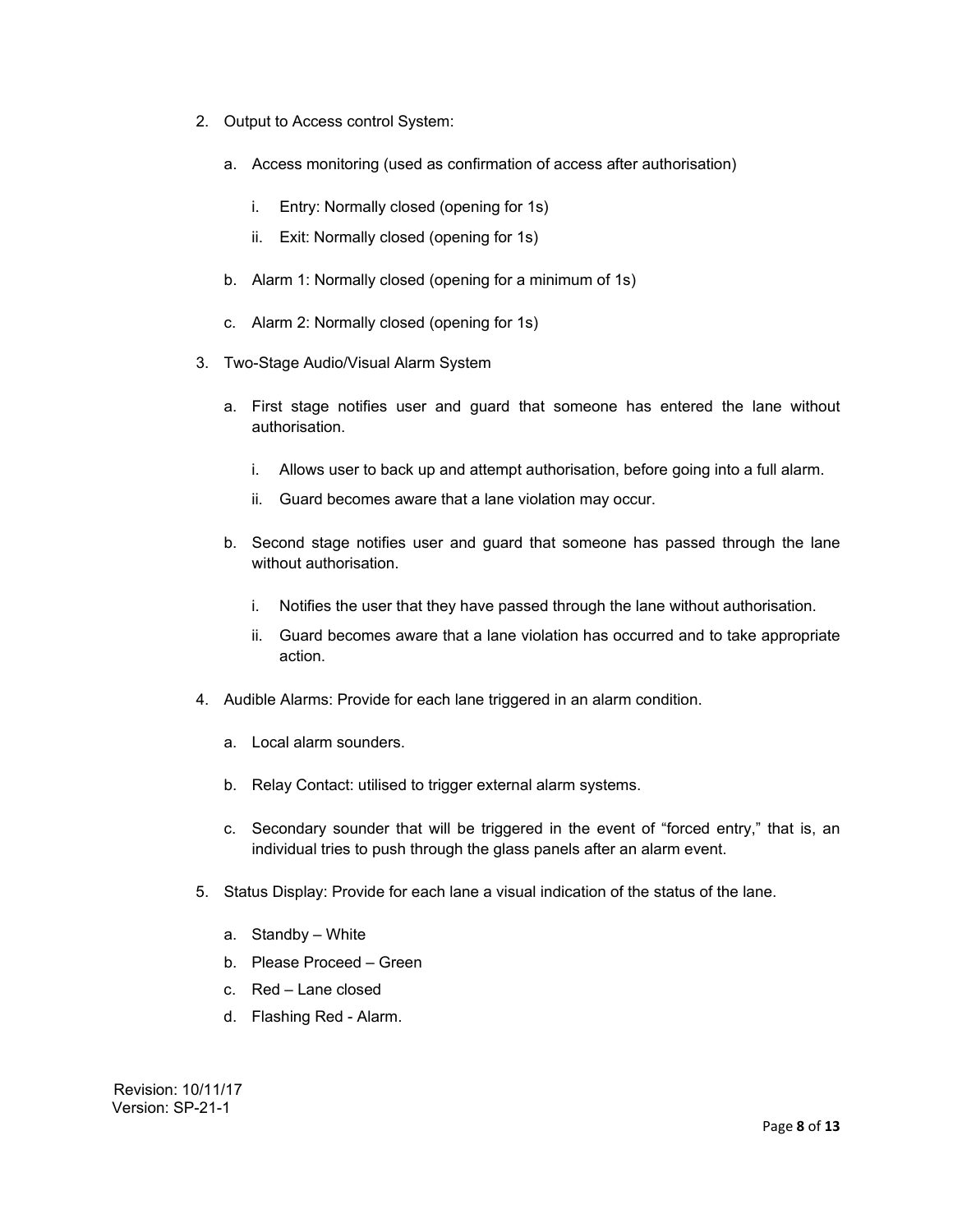- 2. Output to Access control System:
	- a. Access monitoring (used as confirmation of access after authorisation)
		- i. Entry: Normally closed (opening for 1s)
		- ii. Exit: Normally closed (opening for 1s)
	- b. Alarm 1: Normally closed (opening for a minimum of 1s)
	- c. Alarm 2: Normally closed (opening for 1s)
- 3. Two-Stage Audio/Visual Alarm System
	- a. First stage notifies user and guard that someone has entered the lane without authorisation.
		- i. Allows user to back up and attempt authorisation, before going into a full alarm.
		- ii. Guard becomes aware that a lane violation may occur.
	- b. Second stage notifies user and guard that someone has passed through the lane without authorisation.
		- i. Notifies the user that they have passed through the lane without authorisation.
		- ii. Guard becomes aware that a lane violation has occurred and to take appropriate action.
- 4. Audible Alarms: Provide for each lane triggered in an alarm condition.
	- a. Local alarm sounders.
	- b. Relay Contact: utilised to trigger external alarm systems.
	- c. Secondary sounder that will be triggered in the event of "forced entry," that is, an individual tries to push through the glass panels after an alarm event.
- 5. Status Display: Provide for each lane a visual indication of the status of the lane.
	- a. Standby White
	- b. Please Proceed Green
	- c. Red Lane closed
	- d. Flashing Red Alarm.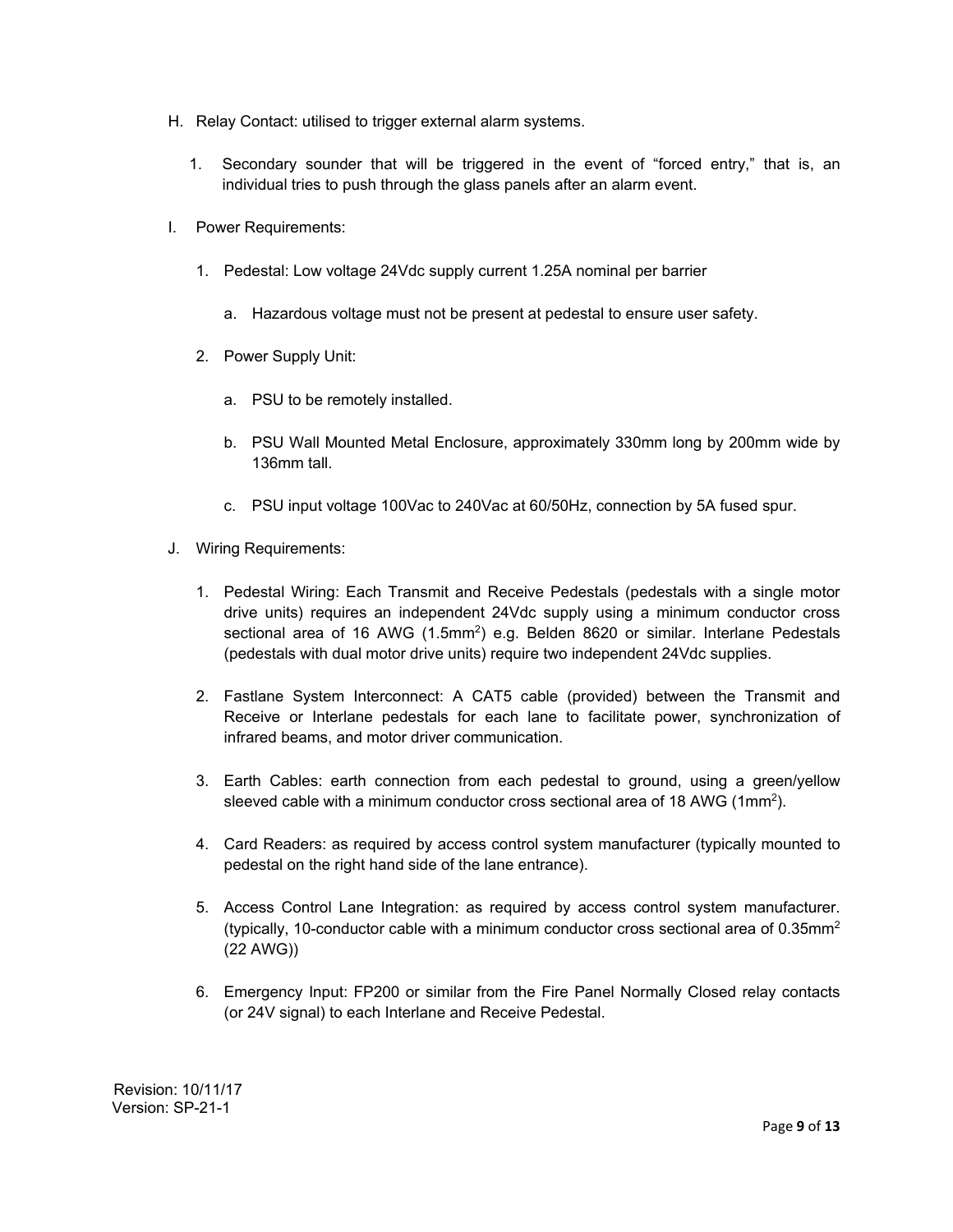- H. Relay Contact: utilised to trigger external alarm systems.
	- 1. Secondary sounder that will be triggered in the event of "forced entry," that is, an individual tries to push through the glass panels after an alarm event.
- I. Power Requirements:
	- 1. Pedestal: Low voltage 24Vdc supply current 1.25A nominal per barrier
		- a. Hazardous voltage must not be present at pedestal to ensure user safety.
	- 2. Power Supply Unit:
		- a. PSU to be remotely installed.
		- b. PSU Wall Mounted Metal Enclosure, approximately 330mm long by 200mm wide by 136mm tall.
		- c. PSU input voltage 100Vac to 240Vac at 60/50Hz, connection by 5A fused spur.
- J. Wiring Requirements:
	- 1. Pedestal Wiring: Each Transmit and Receive Pedestals (pedestals with a single motor drive units) requires an independent 24Vdc supply using a minimum conductor cross sectional area of 16 AWG  $(1.5 \text{mm}^2)$  e.g. Belden 8620 or similar. Interlane Pedestals (pedestals with dual motor drive units) require two independent 24Vdc supplies.
	- 2. Fastlane System Interconnect: A CAT5 cable (provided) between the Transmit and Receive or Interlane pedestals for each lane to facilitate power, synchronization of infrared beams, and motor driver communication.
	- 3. Earth Cables: earth connection from each pedestal to ground, using a green/yellow sleeved cable with a minimum conductor cross sectional area of 18 AWG (1mm2).
	- 4. Card Readers: as required by access control system manufacturer (typically mounted to pedestal on the right hand side of the lane entrance).
	- 5. Access Control Lane Integration: as required by access control system manufacturer. (typically, 10-conductor cable with a minimum conductor cross sectional area of 0.35mm<sup>2</sup> (22 AWG))
	- 6. Emergency Input: FP200 or similar from the Fire Panel Normally Closed relay contacts (or 24V signal) to each Interlane and Receive Pedestal.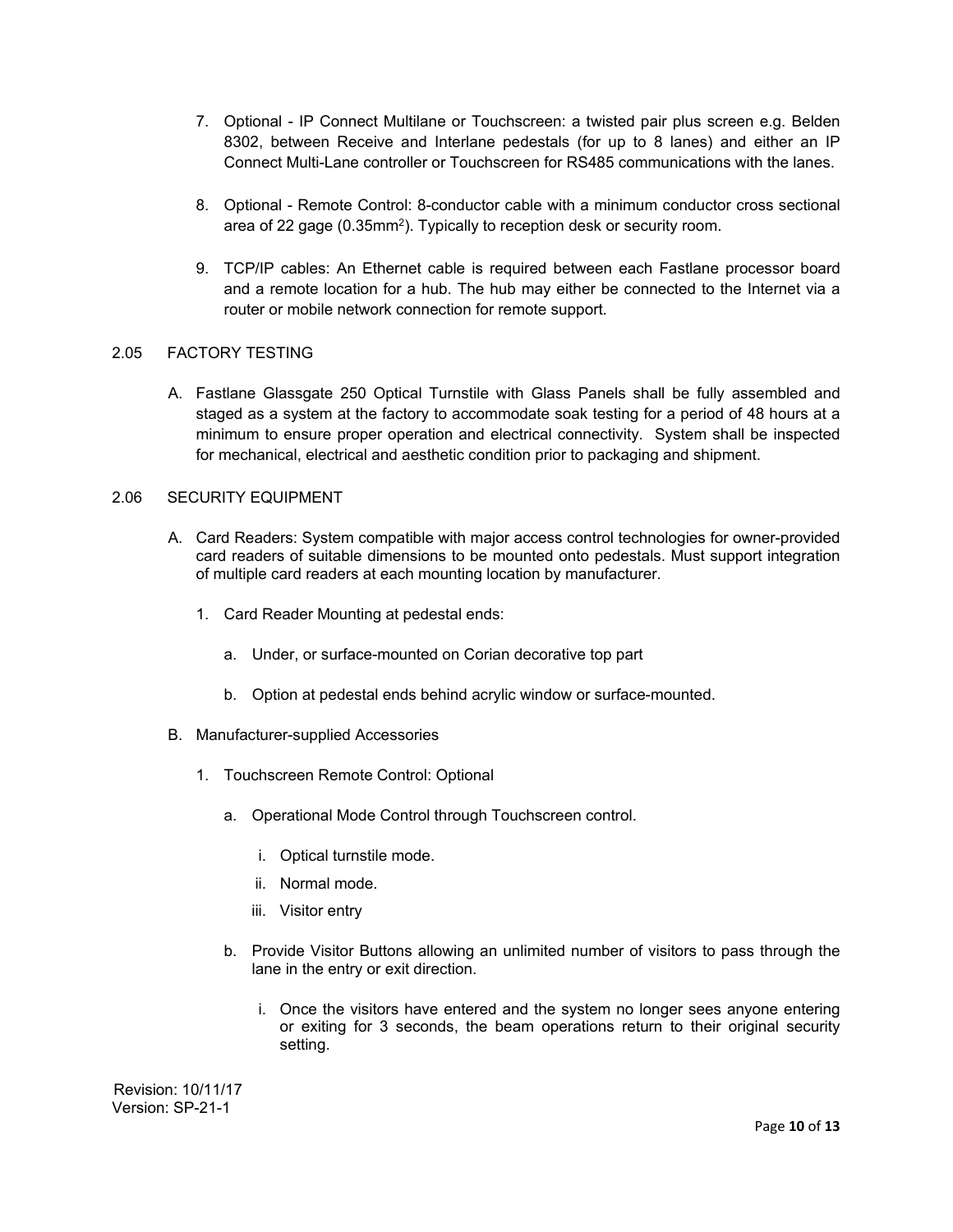- 7. Optional IP Connect Multilane or Touchscreen: a twisted pair plus screen e.g. Belden 8302, between Receive and Interlane pedestals (for up to 8 lanes) and either an IP Connect Multi-Lane controller or Touchscreen for RS485 communications with the lanes.
- 8. Optional Remote Control: 8-conductor cable with a minimum conductor cross sectional area of 22 gage (0.35mm<sup>2</sup>). Typically to reception desk or security room.
- 9. TCP/IP cables: An Ethernet cable is required between each Fastlane processor board and a remote location for a hub. The hub may either be connected to the Internet via a router or mobile network connection for remote support.

### 2.05 FACTORY TESTING

A. Fastlane Glassgate 250 Optical Turnstile with Glass Panels shall be fully assembled and staged as a system at the factory to accommodate soak testing for a period of 48 hours at a minimum to ensure proper operation and electrical connectivity. System shall be inspected for mechanical, electrical and aesthetic condition prior to packaging and shipment.

## 2.06 SECURITY EQUIPMENT

- A. Card Readers: System compatible with major access control technologies for owner-provided card readers of suitable dimensions to be mounted onto pedestals. Must support integration of multiple card readers at each mounting location by manufacturer.
	- 1. Card Reader Mounting at pedestal ends:
		- a. Under, or surface-mounted on Corian decorative top part
		- b. Option at pedestal ends behind acrylic window or surface-mounted.
- B. Manufacturer-supplied Accessories
	- 1. Touchscreen Remote Control: Optional
		- a. Operational Mode Control through Touchscreen control.
			- i. Optical turnstile mode.
			- ii. Normal mode.
			- iii. Visitor entry
		- b. Provide Visitor Buttons allowing an unlimited number of visitors to pass through the lane in the entry or exit direction.
			- i. Once the visitors have entered and the system no longer sees anyone entering or exiting for 3 seconds, the beam operations return to their original security setting.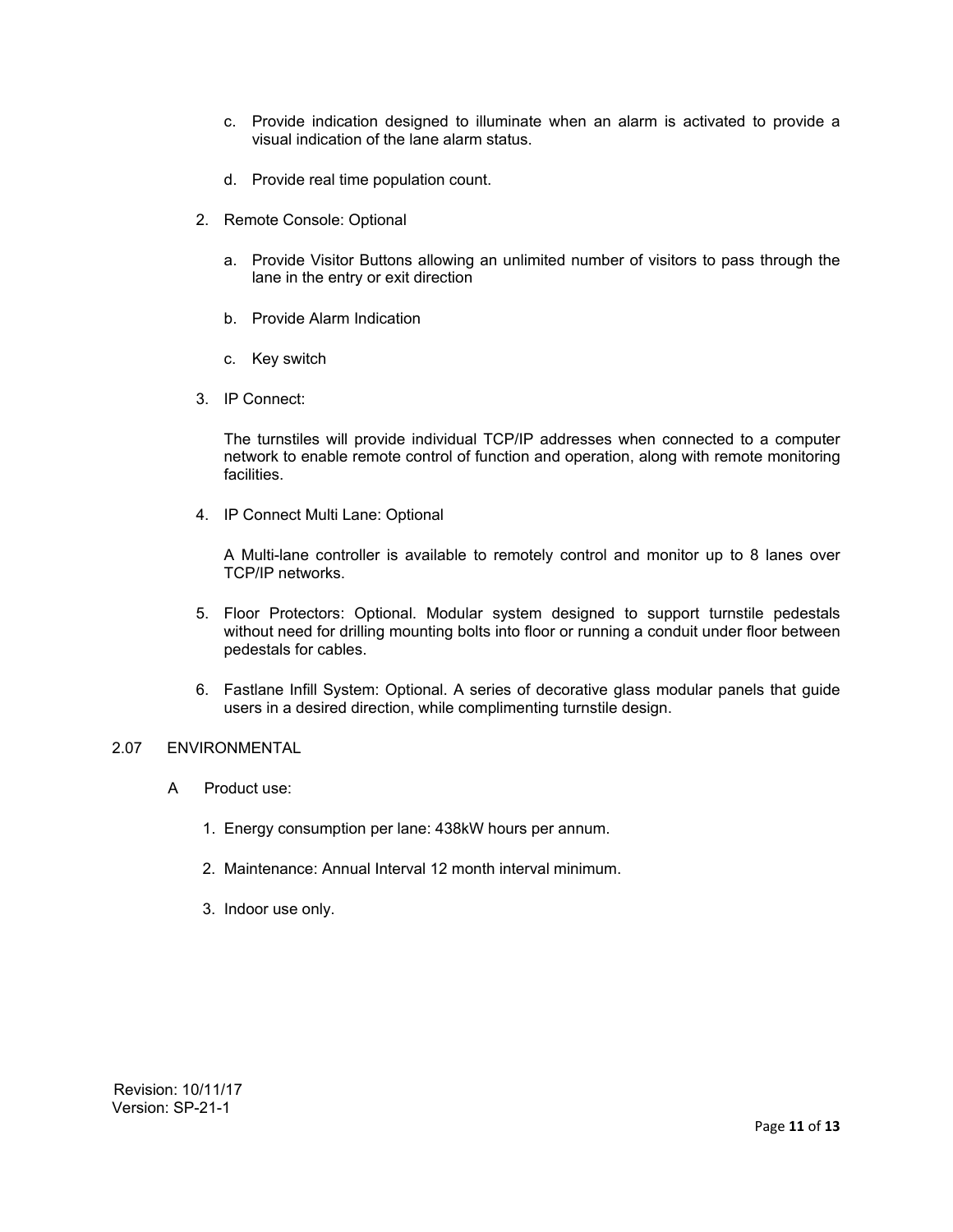- c. Provide indication designed to illuminate when an alarm is activated to provide a visual indication of the lane alarm status.
- d. Provide real time population count.
- 2. Remote Console: Optional
	- a. Provide Visitor Buttons allowing an unlimited number of visitors to pass through the lane in the entry or exit direction
	- b. Provide Alarm Indication
	- c. Key switch
- 3. IP Connect:

The turnstiles will provide individual TCP/IP addresses when connected to a computer network to enable remote control of function and operation, along with remote monitoring facilities.

4. IP Connect Multi Lane: Optional

A Multi-lane controller is available to remotely control and monitor up to 8 lanes over TCP/IP networks.

- 5. Floor Protectors: Optional. Modular system designed to support turnstile pedestals without need for drilling mounting bolts into floor or running a conduit under floor between pedestals for cables.
- 6. Fastlane Infill System: Optional. A series of decorative glass modular panels that guide users in a desired direction, while complimenting turnstile design.

#### 2.07 ENVIRONMENTAL

- A Product use:
	- 1. Energy consumption per lane: 438kW hours per annum.
	- 2. Maintenance: Annual Interval 12 month interval minimum.
	- 3. Indoor use only.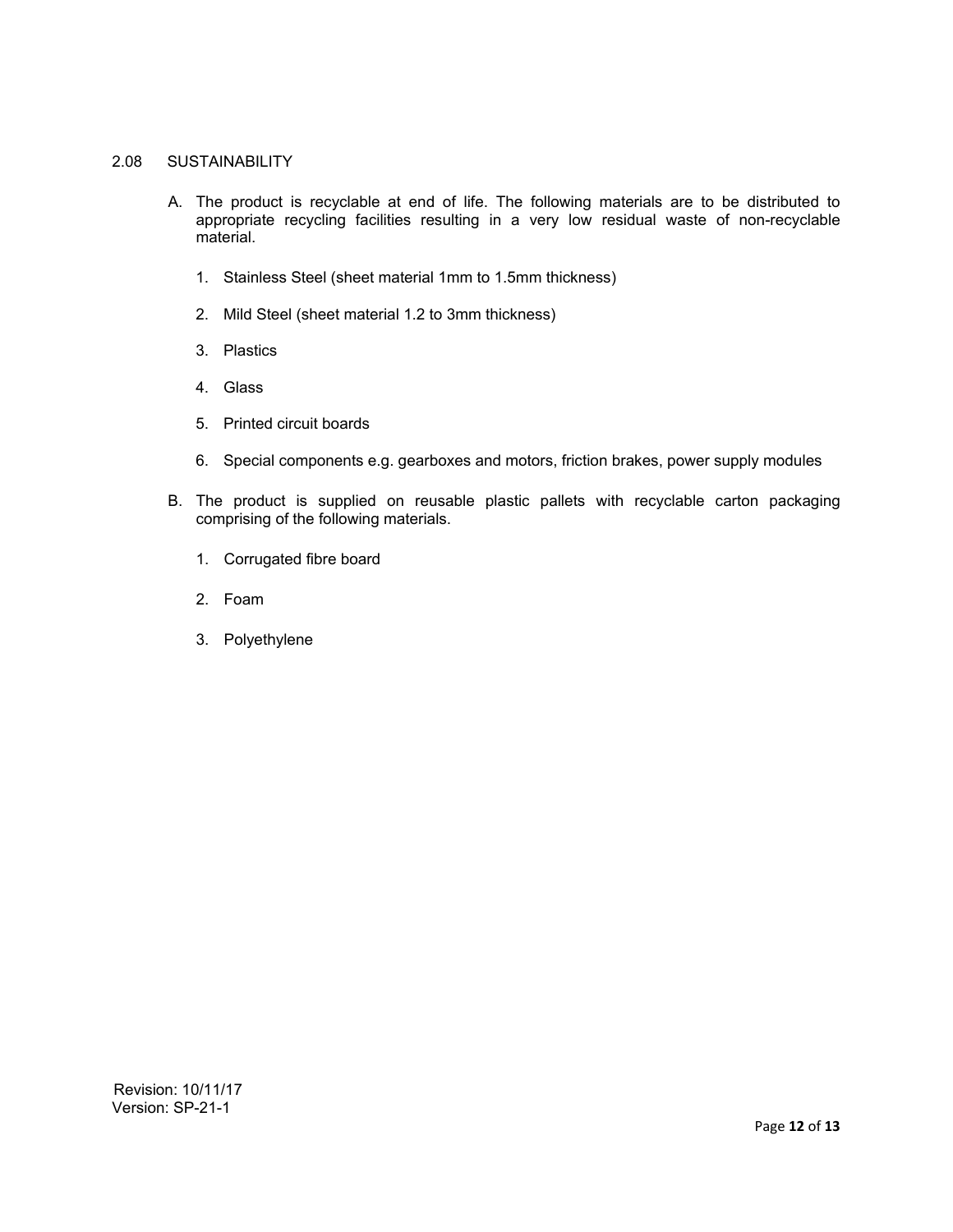#### 2.08 SUSTAINABILITY

- A. The product is recyclable at end of life. The following materials are to be distributed to appropriate recycling facilities resulting in a very low residual waste of non-recyclable material.
	- 1. Stainless Steel (sheet material 1mm to 1.5mm thickness)
	- 2. Mild Steel (sheet material 1.2 to 3mm thickness)
	- 3. Plastics
	- 4. Glass
	- 5. Printed circuit boards
	- 6. Special components e.g. gearboxes and motors, friction brakes, power supply modules
- B. The product is supplied on reusable plastic pallets with recyclable carton packaging comprising of the following materials.
	- 1. Corrugated fibre board
	- 2. Foam
	- 3. Polyethylene